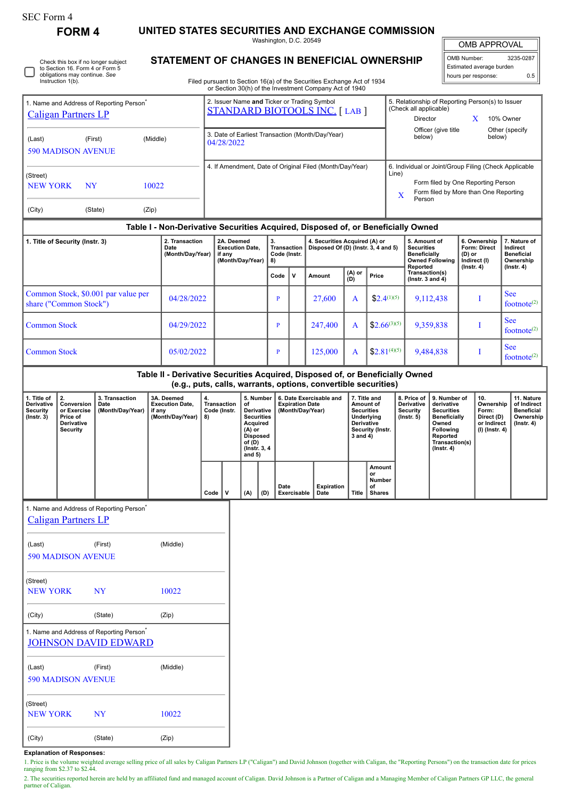| SEC Form 4 |
|------------|
|------------|

Instruction 1(b).

Check this box if no longer subject to Section 16. Form 4 or Form 5 obligations may continue. *See*

**FORM 4 UNITED STATES SECURITIES AND EXCHANGE COMMISSION**

Washington, D.C. 20549 **STATEMENT OF CHANGES IN BENEFICIAL OWNERSHIP**

| OMB APPROVAL |
|--------------|
|              |

| OMB Number:              | 3235-0287 |
|--------------------------|-----------|
| Estimated average burden |           |
| hours per response:      | ሰ 5       |

I

Filed pursuant to Section 16(a) of the Securities Exchange Act of 1934 or Section 30(h) of the Investment Company Act of 1940

|                                                                                    |           |                                    |                                                                                                                                                                                              | or occaon both) or the investment company Act or 1940                               |   |        |                                                                                    |                                                                                                      |                                                            |                                                                            |                  |                          |  |
|------------------------------------------------------------------------------------|-----------|------------------------------------|----------------------------------------------------------------------------------------------------------------------------------------------------------------------------------------------|-------------------------------------------------------------------------------------|---|--------|------------------------------------------------------------------------------------|------------------------------------------------------------------------------------------------------|------------------------------------------------------------|----------------------------------------------------------------------------|------------------|--------------------------|--|
| 1. Name and Address of Reporting Person <sup>®</sup><br><b>Caligan Partners LP</b> |           |                                    |                                                                                                                                                                                              | 2. Issuer Name and Ticker or Trading Symbol<br><b>STANDARD BIOTOOLS INC. [LAB ]</b> |   |        |                                                                                    |                                                                                                      |                                                            | 5. Relationship of Reporting Person(s) to Issuer<br>(Check all applicable) |                  |                          |  |
|                                                                                    |           |                                    |                                                                                                                                                                                              |                                                                                     |   |        |                                                                                    |                                                                                                      |                                                            | <b>Director</b>                                                            | x                | 10% Owner                |  |
| (Last)<br><b>590 MADISON AVENUE</b>                                                | (First)   | (Middle)                           |                                                                                                                                                                                              | 3. Date of Earliest Transaction (Month/Day/Year)<br>04/28/2022                      |   |        |                                                                                    |                                                                                                      |                                                            | Officer (give title<br>below)                                              |                  | Other (specify<br>below) |  |
|                                                                                    |           |                                    |                                                                                                                                                                                              | 4. If Amendment, Date of Original Filed (Month/Day/Year)                            |   |        |                                                                                    |                                                                                                      |                                                            | 6. Individual or Joint/Group Filing (Check Applicable                      |                  |                          |  |
| (Street)                                                                           |           |                                    |                                                                                                                                                                                              |                                                                                     |   |        |                                                                                    |                                                                                                      | Line)                                                      |                                                                            |                  |                          |  |
| <b>NEW YORK</b>                                                                    | <b>NY</b> | 10022                              |                                                                                                                                                                                              |                                                                                     |   |        |                                                                                    | Form filed by One Reporting Person<br>Form filed by More than One Reporting<br>$\mathbf x$<br>Person |                                                            |                                                                            |                  |                          |  |
| (City)                                                                             | (State)   | (Zip)                              |                                                                                                                                                                                              |                                                                                     |   |        |                                                                                    |                                                                                                      |                                                            |                                                                            |                  |                          |  |
|                                                                                    |           |                                    |                                                                                                                                                                                              | Table I - Non-Derivative Securities Acquired, Disposed of, or Beneficially Owned    |   |        |                                                                                    |                                                                                                      |                                                            |                                                                            |                  |                          |  |
| 1. Title of Security (Instr. 3)<br>Date                                            |           | 2. Transaction<br>(Month/Day/Year) | 4. Securities Acquired (A) or<br>2A. Deemed<br>3.<br><b>Transaction</b><br>Disposed Of (D) (Instr. 3, 4 and 5)<br><b>Execution Date.</b><br>Code (Instr.<br>if any<br>(Month/Day/Year)<br>8) |                                                                                     |   |        | 5. Amount of<br><b>Securities</b><br><b>Beneficially</b><br><b>Owned Following</b> | 6. Ownership<br><b>Form: Direct</b><br>(D) or<br>Indirect (I)                                        | 7. Nature of<br>Indirect<br><b>Beneficial</b><br>Ownership |                                                                            |                  |                          |  |
|                                                                                    |           |                                    |                                                                                                                                                                                              | Code                                                                                | v | Amount | (A) or<br>(D)                                                                      | Price                                                                                                | Reported<br>Transaction(s)<br>$($ lnstr. 3 and 4 $)$       | $($ Instr. 4 $)$                                                           | $($ lnstr. 4 $)$ |                          |  |
| Common Stock \$0.001 par value per                                                 |           |                                    |                                                                                                                                                                                              |                                                                                     |   |        |                                                                                    |                                                                                                      |                                                            |                                                                            |                  | $S_{\rho\rho}$           |  |

|                                                               |            |  |         | $\ddot{\phantom{0}}$ |                                                      | 11100110001100000 |                                |
|---------------------------------------------------------------|------------|--|---------|----------------------|------------------------------------------------------|-------------------|--------------------------------|
| Common Stock, \$0.001 par value per<br>share ("Common Stock") | 04/28/2022 |  | 27,600  |                      | $$2.4^{(1)(5)}$                                      | 9,112,438         | See<br>footnote <sup>(2)</sup> |
| Common Stock                                                  | 04/29/2022 |  | 247,400 | A                    | $\vert$ \$2.66 <sup>(3)(5)</sup>                     | 9,359,838         | See<br>footnote <sup>(2)</sup> |
| <b>Common Stock</b>                                           | 05/02/2022 |  | 125,000 |                      | $\left  \frac{2.81^{(4)(5)}}{2.81^{(4)(5)}} \right $ | 9,484,838         | See<br>footnote <sup>(2)</sup> |

**Table II - Derivative Securities Acquired, Disposed of, or Beneficially Owned (e.g., puts, calls, warrants, options, convertible securities)**

| 1. Title of<br><b>Derivative</b><br>Security<br>$($ lnstr. 3 $)$ | 2.<br>Conversion<br>or Exercise<br>Price of<br><b>Derivative</b><br>Security | 3. Transaction<br>Date<br>(Month/Day/Year) | 3A. Deemed<br><b>Execution Date.</b><br>if any<br>(Month/Day/Year) | 4.<br>Transaction<br>Code (Instr.<br>8) | οf<br>Derivative<br><b>Securities</b><br>Acquired<br>(A) or<br><b>Disposed</b><br>of $(D)$<br>(Instr. 3, 4)<br>and $5)$ | 5. Number | 6. Date Exercisable and<br><b>Expiration Date</b><br>(Month/Day/Year) |                           |       |                                               | 7. Title and<br>Amount of<br><b>Securities</b><br>Underlying<br><b>Derivative</b><br>Security (Instr.<br>3 and 4) |  | 8. Price of<br><b>Derivative</b><br>Security<br>$($ lnstr. 5 $)$ | 9. Number of<br>derivative<br><b>Securities</b><br><b>Beneficially</b><br>Owned<br><b>Following</b><br>Reported<br>Transaction(s)<br>$($ lnstr. 4 $)$ | 10.<br>Ownership<br>Form:<br>Direct (D)<br>or Indirect<br>(I) (Instr. 4) | 11. Nature<br>of Indirect<br><b>Beneficial</b><br>Ownership<br>$($ lnstr. 4 $)$ |
|------------------------------------------------------------------|------------------------------------------------------------------------------|--------------------------------------------|--------------------------------------------------------------------|-----------------------------------------|-------------------------------------------------------------------------------------------------------------------------|-----------|-----------------------------------------------------------------------|---------------------------|-------|-----------------------------------------------|-------------------------------------------------------------------------------------------------------------------|--|------------------------------------------------------------------|-------------------------------------------------------------------------------------------------------------------------------------------------------|--------------------------------------------------------------------------|---------------------------------------------------------------------------------|
|                                                                  |                                                                              |                                            |                                                                    | $Code \vert$                            | (A)                                                                                                                     | (D)       | Date<br>Exercisable                                                   | <b>Expiration</b><br>Date | Title | Amount<br>or<br>Number<br>of<br><b>Shares</b> |                                                                                                                   |  |                                                                  |                                                                                                                                                       |                                                                          |                                                                                 |
|                                                                  |                                                                              |                                            |                                                                    |                                         |                                                                                                                         |           |                                                                       |                           |       |                                               |                                                                                                                   |  |                                                                  |                                                                                                                                                       |                                                                          |                                                                                 |

1. Name and Address of Reporting Person\*

| <b>Caligan Partners LP</b> |         |          |  |  |  |  |  |
|----------------------------|---------|----------|--|--|--|--|--|
| (Last)                     | (First) | (Middle) |  |  |  |  |  |
|                            |         |          |  |  |  |  |  |

| <b>590 MADISON AVENUE</b>                                              |           |          |  |  |  |  |  |  |
|------------------------------------------------------------------------|-----------|----------|--|--|--|--|--|--|
| (Street)<br><b>NEW YORK</b>                                            | <b>NY</b> | 10022    |  |  |  |  |  |  |
|                                                                        |           |          |  |  |  |  |  |  |
| (City)                                                                 | (State)   | (Zip)    |  |  |  |  |  |  |
| 1. Name and Address of Reporting Person<br><b>JOHNSON DAVID EDWARD</b> |           |          |  |  |  |  |  |  |
| (Last)                                                                 | (First)   | (Middle) |  |  |  |  |  |  |
| <b>590 MADISON AVENUE</b>                                              |           |          |  |  |  |  |  |  |
| (Street)                                                               |           |          |  |  |  |  |  |  |
| <b>NEW YORK</b>                                                        | NY        | 10022    |  |  |  |  |  |  |

**Explanation of Responses:**

(City) (State) (Zip)

1. Price is the volume weighted average selling price of all sales by Caligan Partners LP ("Caligan") and David Johnson (together with Caligan, the "Reporting Persons") on the transaction date for prices ranging from \$2.37 to \$2.44.

2. The securities reported herein are held by an affiliated fund and managed account of Caligan. David Johnson is a Partner of Caligan and a Managing Member of Caligan Partners GP LLC, the general partner of Caligan.